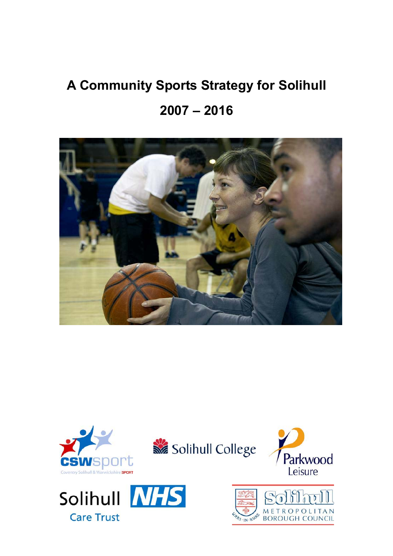# **A Community Sports Strategy for Solihull 2007 – 2016**



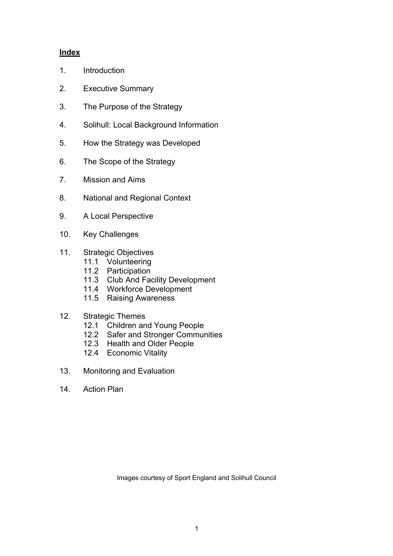#### **Index**

- 1. Introduction
- 2. Executive Summary
- 3. The Purpose of the Strategy
- 4. Solihull: Local Background Information
- 5. How the Strategy was Developed
- 6. The Scope of the Strategy
- 7. Mission and Aims
- 8. National and Regional Context
- 9. A Local Perspective
- 10. Key Challenges
- 11. Strategic Objectives
	- 11.1 Volunteering
	- 11.2 Participation
	- 11.3 Club And Facility Development
	- 11.4 Workforce Development
	- 11.5 Raising Awareness
- 12. Strategic Themes
	- 12.1 Children and Young People
	- 12.2 Safer and Stronger Communities
	- 12.3 Health and Older People
	- 12.4 Economic Vitality
- 13. Monitoring and Evaluation
- 14 Action Plan

Images courtesy of Sport England and Solihull Council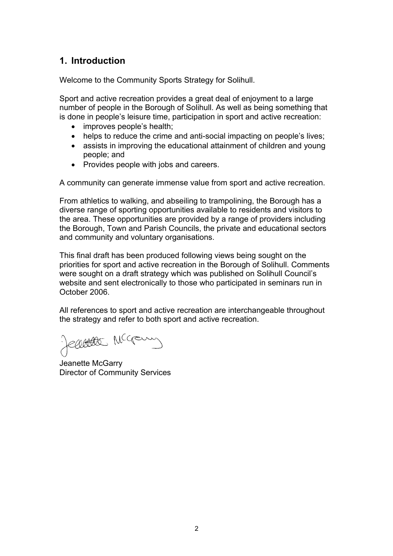# **1. Introduction**

Welcome to the Community Sports Strategy for Solihull.

Sport and active recreation provides a great deal of enjoyment to a large number of people in the Borough of Solihull. As well as being something that is done in people's leisure time, participation in sport and active recreation:

- $\bullet$  improves people's health;
- helps to reduce the crime and anti-social impacting on people's lives;
- assists in improving the educational attainment of children and young people; and
- Provides people with jobs and careers.

A community can generate immense value from sport and active recreation.

From athletics to walking, and abseiling to trampolining, the Borough has a diverse range of sporting opportunities available to residents and visitors to the area. These opportunities are provided by a range of providers including the Borough, Town and Parish Councils, the private and educational sectors and community and voluntary organisations.

This final draft has been produced following views being sought on the priorities for sport and active recreation in the Borough of Solihull. Comments were sought on a draft strategy which was published on Solihull Council's website and sent electronically to those who participated in seminars run in October 2006.

All references to sport and active recreation are interchangeable throughout the strategy and refer to both sport and active recreation.

Reachester McGamy

Jeanette McGarry Director of Community Services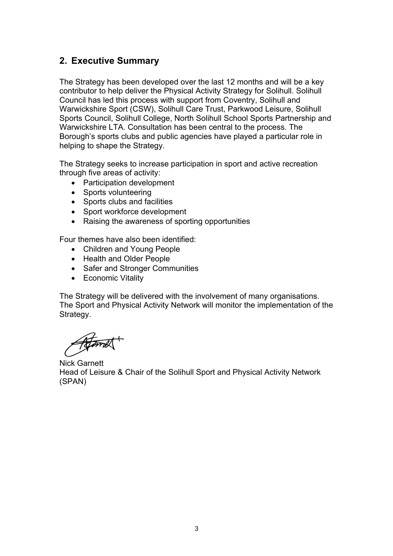# **2. Executive Summary**

The Strategy has been developed over the last 12 months and will be a key contributor to help deliver the Physical Activity Strategy for Solihull. Solihull Council has led this process with support from Coventry, Solihull and Warwickshire Sport (CSW), Solihull Care Trust, Parkwood Leisure, Solihull Sports Council, Solihull College, North Solihull School Sports Partnership and Warwickshire LTA. Consultation has been central to the process. The Borough's sports clubs and public agencies have played a particular role in helping to shape the Strategy.

The Strategy seeks to increase participation in sport and active recreation through five areas of activity:

- Participation development
- Sports volunteering
- Sports clubs and facilities
- Sport workforce development
- Raising the awareness of sporting opportunities

Four themes have also been identified:

- Children and Young People
- Health and Older People
- Safer and Stronger Communities
- Economic Vitality

The Strategy will be delivered with the involvement of many organisations. The Sport and Physical Activity Network will monitor the implementation of the Strategy.

Atomet

Nick Garnett Head of Leisure & Chair of the Solihull Sport and Physical Activity Network (SPAN)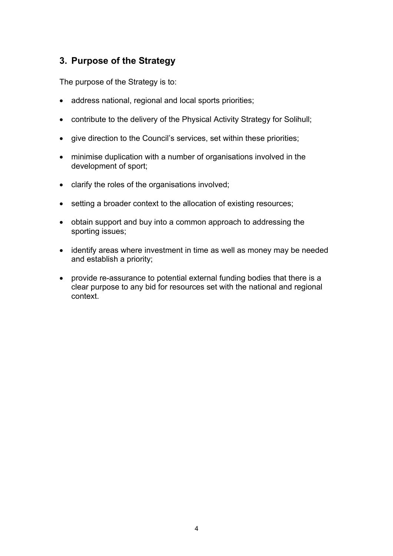# **3. Purpose of the Strategy**

The purpose of the Strategy is to:

- address national, regional and local sports priorities;
- contribute to the delivery of the Physical Activity Strategy for Solihull;
- give direction to the Council's services, set within these priorities;
- minimise duplication with a number of organisations involved in the development of sport;
- $\bullet$  clarify the roles of the organisations involved;
- setting a broader context to the allocation of existing resources;
- obtain support and buy into a common approach to addressing the sporting issues;
- identify areas where investment in time as well as money may be needed and establish a priority;
- provide re-assurance to potential external funding bodies that there is a clear purpose to any bid for resources set with the national and regional context.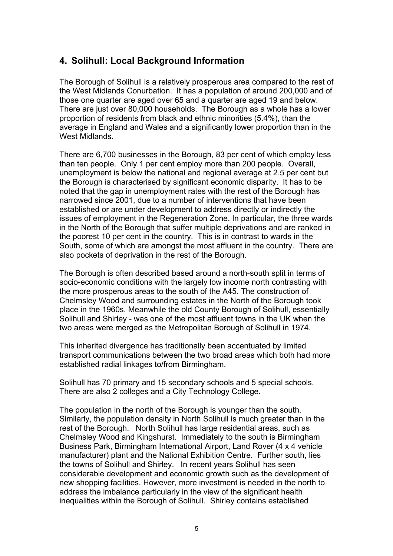# **4. Solihull: Local Background Information**

The Borough of Solihull is a relatively prosperous area compared to the rest of the West Midlands Conurbation. It has a population of around 200,000 and of those one quarter are aged over 65 and a quarter are aged 19 and below. There are just over 80,000 households. The Borough as a whole has a lower proportion of residents from black and ethnic minorities (5.4%), than the average in England and Wales and a significantly lower proportion than in the West Midlands.

There are 6,700 businesses in the Borough, 83 per cent of which employ less than ten people. Only 1 per cent employ more than 200 people. Overall, unemployment is below the national and regional average at 2.5 per cent but the Borough is characterised by significant economic disparity. It has to be noted that the gap in unemployment rates with the rest of the Borough has narrowed since 2001, due to a number of interventions that have been established or are under development to address directly or indirectly the issues of employment in the Regeneration Zone. In particular, the three wards in the North of the Borough that suffer multiple deprivations and are ranked in the poorest 10 per cent in the country. This is in contrast to wards in the South, some of which are amongst the most affluent in the country. There are also pockets of deprivation in the rest of the Borough.

The Borough is often described based around a north-south split in terms of socio-economic conditions with the largely low income north contrasting with the more prosperous areas to the south of the A45. The construction of Chelmsley Wood and surrounding estates in the North of the Borough took place in the 1960s. Meanwhile the old County Borough of Solihull, essentially Solihull and Shirley - was one of the most affluent towns in the UK when the two areas were merged as the Metropolitan Borough of Solihull in 1974.

This inherited divergence has traditionally been accentuated by limited transport communications between the two broad areas which both had more established radial linkages to/from Birmingham.

Solihull has 70 primary and 15 secondary schools and 5 special schools. There are also 2 colleges and a City Technology College.

The population in the north of the Borough is younger than the south. Similarly, the population density in North Solihull is much greater than in the rest of the Borough. North Solihull has large residential areas, such as Chelmsley Wood and Kingshurst. Immediately to the south is Birmingham Business Park, Birmingham International Airport, Land Rover (4 x 4 vehicle manufacturer) plant and the National Exhibition Centre. Further south, lies the towns of Solihull and Shirley. In recent years Solihull has seen considerable development and economic growth such as the development of new shopping facilities. However, more investment is needed in the north to address the imbalance particularly in the view of the significant health inequalities within the Borough of Solihull. Shirley contains established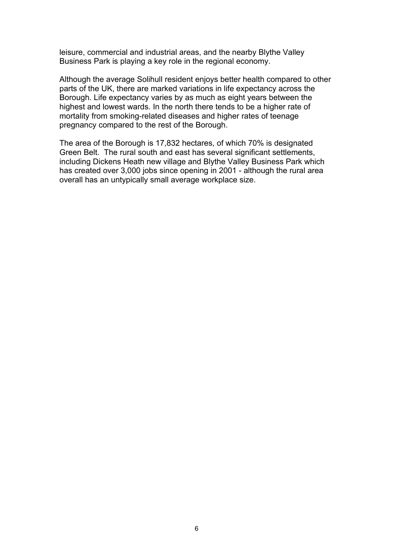leisure, commercial and industrial areas, and the nearby Blythe Valley Business Park is playing a key role in the regional economy.

Although the average Solihull resident enjoys better health compared to other parts of the UK, there are marked variations in life expectancy across the Borough. Life expectancy varies by as much as eight years between the highest and lowest wards. In the north there tends to be a higher rate of mortality from smoking-related diseases and higher rates of teenage pregnancy compared to the rest of the Borough.

The area of the Borough is 17,832 hectares, of which 70% is designated Green Belt. The rural south and east has several significant settlements, including Dickens Heath new village and Blythe Valley Business Park which has created over 3,000 jobs since opening in 2001 - although the rural area overall has an untypically small average workplace size.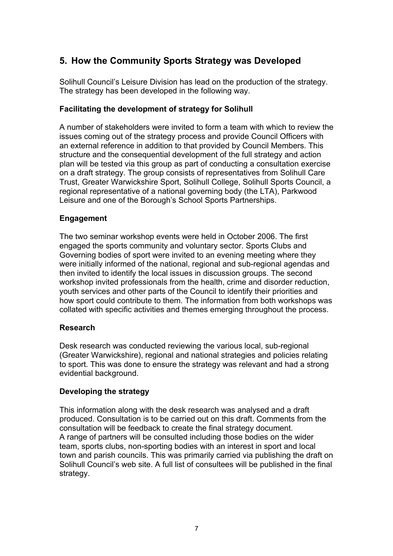# **5. How the Community Sports Strategy was Developed**

Solihull Council's Leisure Division has lead on the production of the strategy. The strategy has been developed in the following way.

### **Facilitating the development of strategy for Solihull**

A number of stakeholders were invited to form a team with which to review the issues coming out of the strategy process and provide Council Officers with an external reference in addition to that provided by Council Members. This structure and the consequential development of the full strategy and action plan will be tested via this group as part of conducting a consultation exercise on a draft strategy. The group consists of representatives from Solihull Care Trust, Greater Warwickshire Sport, Solihull College, Solihull Sports Council, a regional representative of a national governing body (the LTA), Parkwood Leisure and one of the Borough's School Sports Partnerships.

### **Engagement**

The two seminar workshop events were held in October 2006. The first engaged the sports community and voluntary sector. Sports Clubs and Governing bodies of sport were invited to an evening meeting where they were initially informed of the national, regional and sub-regional agendas and then invited to identify the local issues in discussion groups. The second workshop invited professionals from the health, crime and disorder reduction, youth services and other parts of the Council to identify their priorities and how sport could contribute to them. The information from both workshops was collated with specific activities and themes emerging throughout the process.

### **Research**

Desk research was conducted reviewing the various local, sub-regional (Greater Warwickshire), regional and national strategies and policies relating to sport. This was done to ensure the strategy was relevant and had a strong evidential background.

# **Developing the strategy**

This information along with the desk research was analysed and a draft produced. Consultation is to be carried out on this draft. Comments from the consultation will be feedback to create the final strategy document. A range of partners will be consulted including those bodies on the wider team, sports clubs, non-sporting bodies with an interest in sport and local town and parish councils. This was primarily carried via publishing the draft on Solihull Council's web site. A full list of consultees will be published in the final strategy.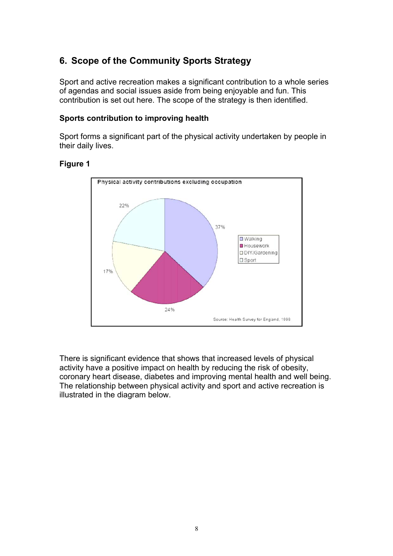# **6. Scope of the Community Sports Strategy**

Sport and active recreation makes a significant contribution to a whole series of agendas and social issues aside from being enjoyable and fun. This contribution is set out here. The scope of the strategy is then identified.

#### **Sports contribution to improving health**

Sport forms a significant part of the physical activity undertaken by people in their daily lives.

#### **Figure 1**



There is significant evidence that shows that increased levels of physical activity have a positive impact on health by reducing the risk of obesity, coronary heart disease, diabetes and improving mental health and well being. The relationship between physical activity and sport and active recreation is illustrated in the diagram below.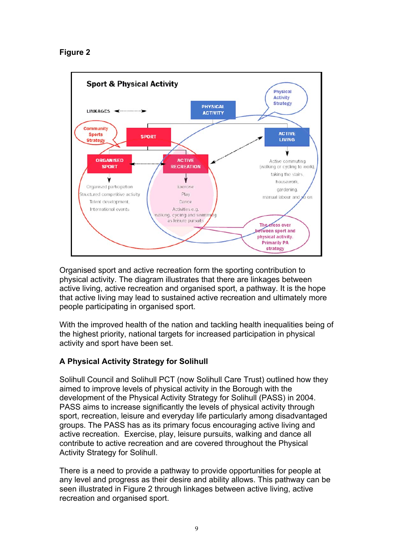## **Figure 2**



Organised sport and active recreation form the sporting contribution to physical activity. The diagram illustrates that there are linkages between active living, active recreation and organised sport, a pathway. It is the hope that active living may lead to sustained active recreation and ultimately more people participating in organised sport.

With the improved health of the nation and tackling health inequalities being of the highest priority, national targets for increased participation in physical activity and sport have been set.

# **A Physical Activity Strategy for Solihull**

Solihull Council and Solihull PCT (now Solihull Care Trust) outlined how they aimed to improve levels of physical activity in the Borough with the development of the Physical Activity Strategy for Solihull (PASS) in 2004. PASS aims to increase significantly the levels of physical activity through sport, recreation, leisure and everyday life particularly among disadvantaged groups. The PASS has as its primary focus encouraging active living and active recreation. Exercise, play, leisure pursuits, walking and dance all contribute to active recreation and are covered throughout the Physical Activity Strategy for Solihull.

There is a need to provide a pathway to provide opportunities for people at any level and progress as their desire and ability allows. This pathway can be seen illustrated in Figure 2 through linkages between active living, active recreation and organised sport.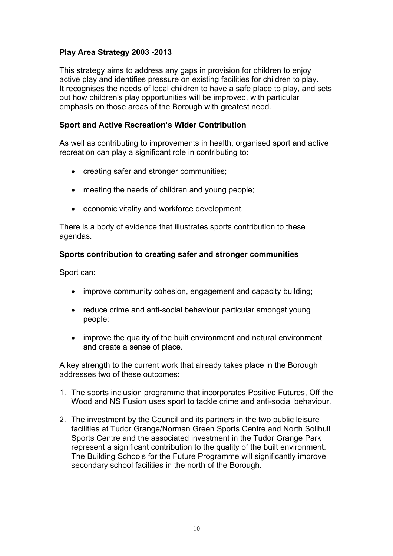## **Play Area Strategy 2003 -2013**

This strategy aims to address any gaps in provision for children to enjoy active play and identifies pressure on existing facilities for children to play. It recognises the needs of local children to have a safe place to play, and sets out how children's play opportunities will be improved, with particular emphasis on those areas of the Borough with greatest need.

#### **Sport and Active Recreation's Wider Contribution**

As well as contributing to improvements in health, organised sport and active recreation can play a significant role in contributing to:

- creating safer and stronger communities;
- $\bullet$  meeting the needs of children and young people;
- economic vitality and workforce development.

There is a body of evidence that illustrates sports contribution to these agendas.

#### **Sports contribution to creating safer and stronger communities**

Sport can:

- improve community cohesion, engagement and capacity building;
- reduce crime and anti-social behaviour particular amongst young people;
- improve the quality of the built environment and natural environment and create a sense of place.

A key strength to the current work that already takes place in the Borough addresses two of these outcomes:

- 1. The sports inclusion programme that incorporates Positive Futures, Off the Wood and NS Fusion uses sport to tackle crime and anti-social behaviour.
- 2. The investment by the Council and its partners in the two public leisure facilities at Tudor Grange/Norman Green Sports Centre and North Solihull Sports Centre and the associated investment in the Tudor Grange Park represent a significant contribution to the quality of the built environment. The Building Schools for the Future Programme will significantly improve secondary school facilities in the north of the Borough.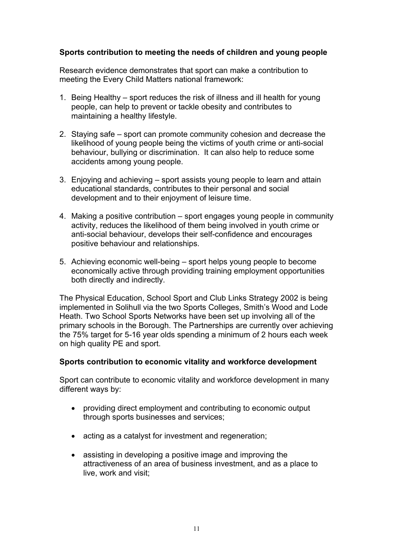#### **Sports contribution to meeting the needs of children and young people**

Research evidence demonstrates that sport can make a contribution to meeting the Every Child Matters national framework:

- 1. Being Healthy sport reduces the risk of illness and ill health for young people, can help to prevent or tackle obesity and contributes to maintaining a healthy lifestyle.
- 2. Staying safe sport can promote community cohesion and decrease the likelihood of young people being the victims of youth crime or anti-social behaviour, bullying or discrimination. It can also help to reduce some accidents among young people.
- 3. Enjoying and achieving sport assists young people to learn and attain educational standards, contributes to their personal and social development and to their enjoyment of leisure time.
- 4. Making a positive contribution sport engages young people in community activity, reduces the likelihood of them being involved in youth crime or anti-social behaviour, develops their self-confidence and encourages positive behaviour and relationships.
- 5. Achieving economic well-being sport helps young people to become economically active through providing training employment opportunities both directly and indirectly.

The Physical Education, School Sport and Club Links Strategy 2002 is being implemented in Solihull via the two Sports Colleges, Smith's Wood and Lode Heath. Two School Sports Networks have been set up involving all of the primary schools in the Borough. The Partnerships are currently over achieving the 75% target for 5-16 year olds spending a minimum of 2 hours each week on high quality PE and sport.

#### **Sports contribution to economic vitality and workforce development**

Sport can contribute to economic vitality and workforce development in many different ways by:

- providing direct employment and contributing to economic output through sports businesses and services;
- acting as a catalyst for investment and regeneration;
- assisting in developing a positive image and improving the attractiveness of an area of business investment, and as a place to live, work and visit;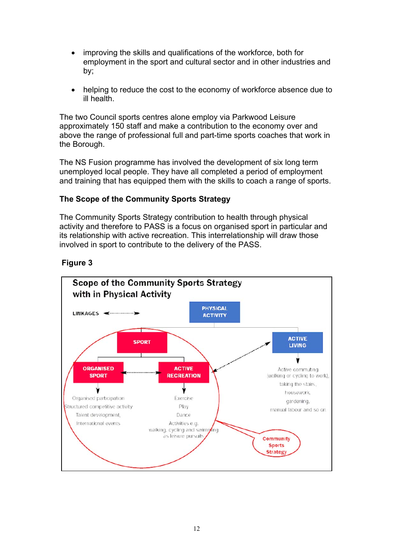- improving the skills and qualifications of the workforce, both for employment in the sport and cultural sector and in other industries and by;
- helping to reduce the cost to the economy of workforce absence due to ill health.

The two Council sports centres alone employ via Parkwood Leisure approximately 150 staff and make a contribution to the economy over and above the range of professional full and part-time sports coaches that work in the Borough.

The NS Fusion programme has involved the development of six long term unemployed local people. They have all completed a period of employment and training that has equipped them with the skills to coach a range of sports.

#### **The Scope of the Community Sports Strategy**

The Community Sports Strategy contribution to health through physical activity and therefore to PASS is a focus on organised sport in particular and its relationship with active recreation. This interrelationship will draw those involved in sport to contribute to the delivery of the PASS.



### **Figure 3**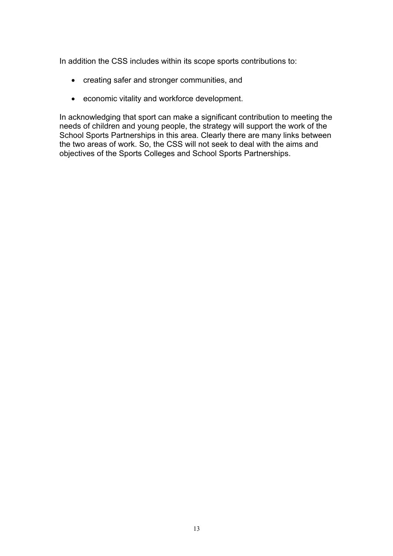In addition the CSS includes within its scope sports contributions to:

- creating safer and stronger communities, and
- economic vitality and workforce development.

In acknowledging that sport can make a significant contribution to meeting the needs of children and young people, the strategy will support the work of the School Sports Partnerships in this area. Clearly there are many links between the two areas of work. So, the CSS will not seek to deal with the aims and objectives of the Sports Colleges and School Sports Partnerships.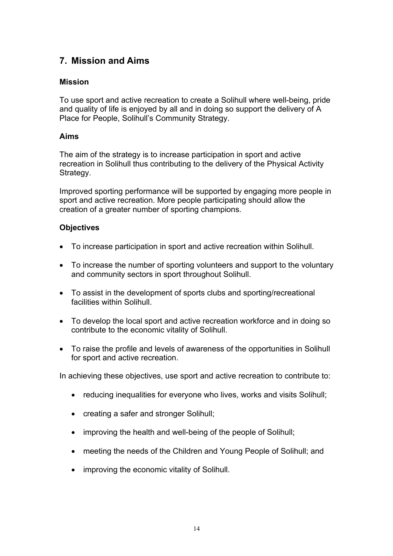# **7. Mission and Aims**

#### **Mission**

To use sport and active recreation to create a Solihull where well-being, pride and quality of life is enjoyed by all and in doing so support the delivery of A Place for People, Solihull's Community Strategy.

#### **Aims**

The aim of the strategy is to increase participation in sport and active recreation in Solihull thus contributing to the delivery of the Physical Activity Strategy.

Improved sporting performance will be supported by engaging more people in sport and active recreation. More people participating should allow the creation of a greater number of sporting champions.

#### **Objectives**

- To increase participation in sport and active recreation within Solihull.
- To increase the number of sporting volunteers and support to the voluntary and community sectors in sport throughout Solihull.
- To assist in the development of sports clubs and sporting/recreational facilities within Solihull.
- To develop the local sport and active recreation workforce and in doing so contribute to the economic vitality of Solihull.
- To raise the profile and levels of awareness of the opportunities in Solihull for sport and active recreation.

In achieving these objectives, use sport and active recreation to contribute to:

- reducing inequalities for everyone who lives, works and visits Solihull;
- creating a safer and stronger Solihull;
- improving the health and well-being of the people of Solihull;
- meeting the needs of the Children and Young People of Solihull; and
- improving the economic vitality of Solihull.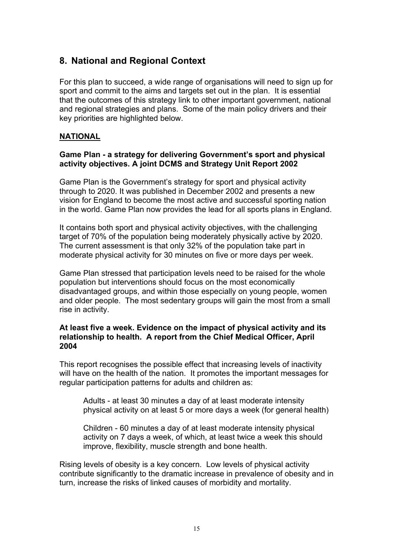# **8. National and Regional Context**

For this plan to succeed, a wide range of organisations will need to sign up for sport and commit to the aims and targets set out in the plan. It is essential that the outcomes of this strategy link to other important government, national and regional strategies and plans. Some of the main policy drivers and their key priorities are highlighted below.

#### **NATIONAL**

#### **Game Plan - a strategy for delivering Government's sport and physical activity objectives. A joint DCMS and Strategy Unit Report 2002**

Game Plan is the Government's strategy for sport and physical activity through to 2020. It was published in December 2002 and presents a new vision for England to become the most active and successful sporting nation in the world. Game Plan now provides the lead for all sports plans in England.

It contains both sport and physical activity objectives, with the challenging target of 70% of the population being moderately physically active by 2020. The current assessment is that only 32% of the population take part in moderate physical activity for 30 minutes on five or more days per week.

Game Plan stressed that participation levels need to be raised for the whole population but interventions should focus on the most economically disadvantaged groups, and within those especially on young people, women and older people. The most sedentary groups will gain the most from a small rise in activity.

#### **At least five a week. Evidence on the impact of physical activity and its relationship to health. A report from the Chief Medical Officer, April 2004**

This report recognises the possible effect that increasing levels of inactivity will have on the health of the nation. It promotes the important messages for regular participation patterns for adults and children as:

Adults - at least 30 minutes a day of at least moderate intensity physical activity on at least 5 or more days a week (for general health)

Children - 60 minutes a day of at least moderate intensity physical activity on 7 days a week, of which, at least twice a week this should improve, flexibility, muscle strength and bone health.

Rising levels of obesity is a key concern. Low levels of physical activity contribute significantly to the dramatic increase in prevalence of obesity and in turn, increase the risks of linked causes of morbidity and mortality.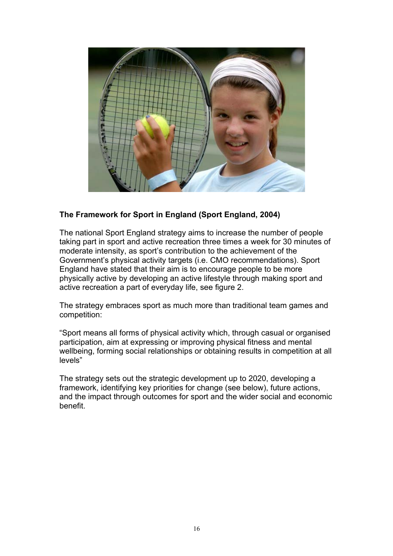

### **The Framework for Sport in England (Sport England, 2004)**

The national Sport England strategy aims to increase the number of people taking part in sport and active recreation three times a week for 30 minutes of moderate intensity, as sport's contribution to the achievement of the Government's physical activity targets (i.e. CMO recommendations). Sport England have stated that their aim is to encourage people to be more physically active by developing an active lifestyle through making sport and active recreation a part of everyday life, see figure 2.

The strategy embraces sport as much more than traditional team games and competition:

"Sport means all forms of physical activity which, through casual or organised participation, aim at expressing or improving physical fitness and mental wellbeing, forming social relationships or obtaining results in competition at all levels"

The strategy sets out the strategic development up to 2020, developing a framework, identifying key priorities for change (see below), future actions, and the impact through outcomes for sport and the wider social and economic benefit.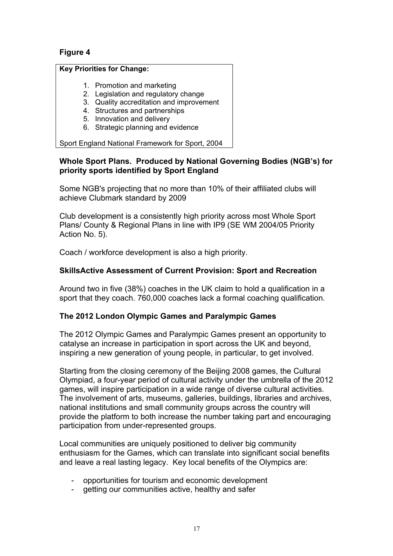## **Figure 4**

#### **Key Priorities for Change:**

- 1. Promotion and marketing
- 2. Legislation and regulatory change
- 3. Quality accreditation and improvement
- 4. Structures and partnerships
- 5. Innovation and delivery
- 6. Strategic planning and evidence

Sport England National Framework for Sport, 2004

#### **Whole Sport Plans. Produced by National Governing Bodies (NGB's) for priority sports identified by Sport England**

Some NGB's projecting that no more than 10% of their affiliated clubs will achieve Clubmark standard by 2009

Club development is a consistently high priority across most Whole Sport Plans/ County & Regional Plans in line with IP9 (SE WM 2004/05 Priority Action No. 5).

Coach / workforce development is also a high priority.

#### **SkillsActive Assessment of Current Provision: Sport and Recreation**

Around two in five (38%) coaches in the UK claim to hold a qualification in a sport that they coach. 760,000 coaches lack a formal coaching qualification.

#### **The 2012 London Olympic Games and Paralympic Games**

The 2012 Olympic Games and Paralympic Games present an opportunity to catalyse an increase in participation in sport across the UK and beyond, inspiring a new generation of young people, in particular, to get involved.

Starting from the closing ceremony of the Beijing 2008 games, the Cultural Olympiad, a four-year period of cultural activity under the umbrella of the 2012 games, will inspire participation in a wide range of diverse cultural activities. The involvement of arts, museums, galleries, buildings, libraries and archives, national institutions and small community groups across the country will provide the platform to both increase the number taking part and encouraging participation from under-represented groups.

Local communities are uniquely positioned to deliver big community enthusiasm for the Games, which can translate into significant social benefits and leave a real lasting legacy. Key local benefits of the Olympics are:

- opportunities for tourism and economic development
- getting our communities active, healthy and safer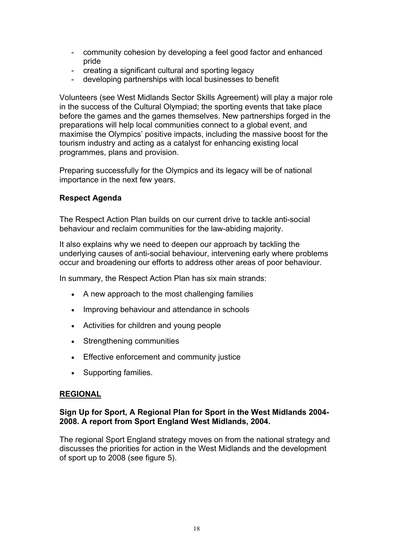- community cohesion by developing a feel good factor and enhanced pride
- creating a significant cultural and sporting legacy
- developing partnerships with local businesses to benefit

Volunteers (see West Midlands Sector Skills Agreement) will play a major role in the success of the Cultural Olympiad; the sporting events that take place before the games and the games themselves. New partnerships forged in the preparations will help local communities connect to a global event, and maximise the Olympics' positive impacts, including the massive boost for the tourism industry and acting as a catalyst for enhancing existing local programmes, plans and provision.

Preparing successfully for the Olympics and its legacy will be of national importance in the next few years.

#### **Respect Agenda**

The Respect Action Plan builds on our current drive to tackle anti-social behaviour and reclaim communities for the law-abiding majority.

It also explains why we need to deepen our approach by tackling the underlying causes of anti-social behaviour, intervening early where problems occur and broadening our efforts to address other areas of poor behaviour.

In summary, the Respect Action Plan has six main strands:

- A new approach to the most challenging families
- Improving behaviour and attendance in schools
- Activities for children and young people
- Strengthening communities
- Effective enforcement and community justice
- Supporting families.

### **REGIONAL**

#### **Sign Up for Sport, A Regional Plan for Sport in the West Midlands 2004- 2008. A report from Sport England West Midlands, 2004.**

The regional Sport England strategy moves on from the national strategy and discusses the priorities for action in the West Midlands and the development of sport up to 2008 (see figure 5).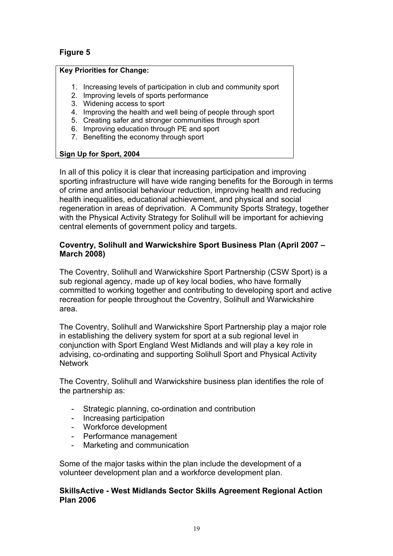## **Figure 5**

#### **Key Priorities for Change:**

- 1. Increasing levels of participation in club and community sport
- 2. Improving levels of sports performance
- 3. Widening access to sport
- 4. Improving the health and well being of people through sport
- 5. Creating safer and stronger communities through sport
- 6. Improving education through PE and sport
- 7. Benefiting the economy through sport

#### **Sign Up for Sport, 2004**

In all of this policy it is clear that increasing participation and improving sporting infrastructure will have wide ranging benefits for the Borough in terms of crime and antisocial behaviour reduction, improving health and reducing health inequalities, educational achievement, and physical and social regeneration in areas of deprivation. A Community Sports Strategy, together with the Physical Activity Strategy for Solihull will be important for achieving central elements of government policy and targets.

#### **Coventry, Solihull and Warwickshire Sport Business Plan (April 2007 – March 2008)**

The Coventry, Solihull and Warwickshire Sport Partnership (CSW Sport) is a sub regional agency, made up of key local bodies, who have formally committed to working together and contributing to developing sport and active recreation for people throughout the Coventry, Solihull and Warwickshire area.

The Coventry, Solihull and Warwickshire Sport Partnership play a major role in establishing the delivery system for sport at a sub regional level in conjunction with Sport England West Midlands and will play a key role in advising, co-ordinating and supporting Solihull Sport and Physical Activity **Network** 

The Coventry, Solihull and Warwickshire business plan identifies the role of the partnership as:

- Strategic planning, co-ordination and contribution
- Increasing participation
- Workforce development
- Performance management
- Marketing and communication

Some of the major tasks within the plan include the development of a volunteer development plan and a workforce development plan.

#### **SkillsActive - West Midlands Sector Skills Agreement Regional Action Plan 2006**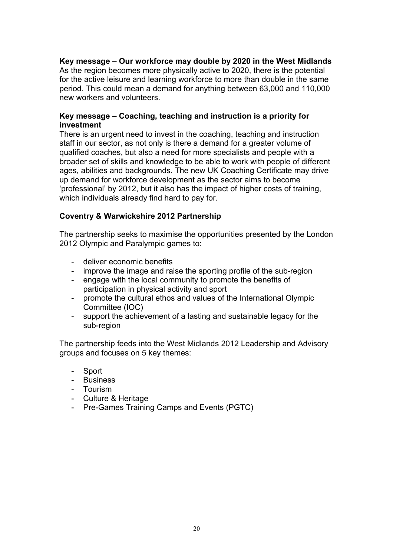**Key message – Our workforce may double by 2020 in the West Midlands**

As the region becomes more physically active to 2020, there is the potential for the active leisure and learning workforce to more than double in the same period. This could mean a demand for anything between 63,000 and 110,000 new workers and volunteers.

#### **Key message – Coaching, teaching and instruction is a priority for investment**

There is an urgent need to invest in the coaching, teaching and instruction staff in our sector, as not only is there a demand for a greater volume of qualified coaches, but also a need for more specialists and people with a broader set of skills and knowledge to be able to work with people of different ages, abilities and backgrounds. The new UK Coaching Certificate may drive up demand for workforce development as the sector aims to become 'professional' by 2012, but it also has the impact of higher costs of training, which individuals already find hard to pay for.

#### **Coventry & Warwickshire 2012 Partnership**

The partnership seeks to maximise the opportunities presented by the London 2012 Olympic and Paralympic games to:

- deliver economic benefits
- improve the image and raise the sporting profile of the sub-region
- engage with the local community to promote the benefits of participation in physical activity and sport
- promote the cultural ethos and values of the International Olympic Committee (IOC)
- support the achievement of a lasting and sustainable legacy for the sub-region

The partnership feeds into the West Midlands 2012 Leadership and Advisory groups and focuses on 5 key themes:

- **Sport**
- Business
- Tourism
- Culture & Heritage
- Pre-Games Training Camps and Events (PGTC)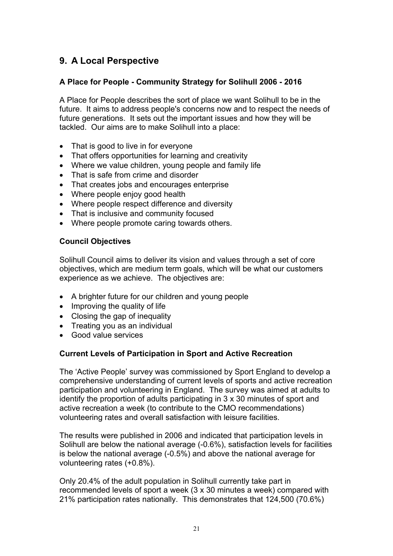# **9. A Local Perspective**

#### **A Place for People - Community Strategy for Solihull 2006 - 2016**

A Place for People describes the sort of place we want Solihull to be in the future. It aims to address people's concerns now and to respect the needs of future generations. It sets out the important issues and how they will be tackled. Our aims are to make Solihull into a place:

- $\bullet$  That is good to live in for everyone
- That offers opportunities for learning and creativity
- Where we value children, young people and family life
- That is safe from crime and disorder
- That creates jobs and encourages enterprise
- Where people enjoy good health
- Where people respect difference and diversity
- That is inclusive and community focused
- Where people promote caring towards others.

#### **Council Objectives**

Solihull Council aims to deliver its vision and values through a set of core objectives, which are medium term goals, which will be what our customers experience as we achieve. The objectives are:

- A brighter future for our children and young people
- Improving the quality of life
- Closing the gap of inequality
- $\bullet$  Treating you as an individual
- Good value services

### **Current Levels of Participation in Sport and Active Recreation**

The 'Active People' survey was commissioned by Sport England to develop a comprehensive understanding of current levels of sports and active recreation participation and volunteering in England. The survey was aimed at adults to identify the proportion of adults participating in 3 x 30 minutes of sport and active recreation a week (to contribute to the CMO recommendations) volunteering rates and overall satisfaction with leisure facilities.

The results were published in 2006 and indicated that participation levels in Solihull are below the national average (-0.6%), satisfaction levels for facilities is below the national average (-0.5%) and above the national average for volunteering rates (+0.8%).

Only 20.4% of the adult population in Solihull currently take part in recommended levels of sport a week (3 x 30 minutes a week) compared with 21% participation rates nationally. This demonstrates that 124,500 (70.6%)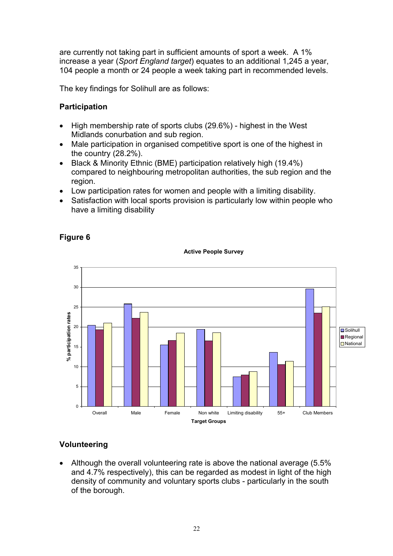are currently not taking part in sufficient amounts of sport a week. A 1% increase a year (*Sport England target*) equates to an additional 1,245 a year, 104 people a month or 24 people a week taking part in recommended levels.

The key findings for Solihull are as follows:

## **Participation**

- $\bullet$  High membership rate of sports clubs (29.6%) highest in the West Midlands conurbation and sub region.
- Male participation in organised competitive sport is one of the highest in the country (28.2%).
- Black & Minority Ethnic (BME) participation relatively high (19.4%) compared to neighbouring metropolitan authorities, the sub region and the region.
- Low participation rates for women and people with a limiting disability.
- Satisfaction with local sports provision is particularly low within people who have a limiting disability



## **Figure 6**

# **Volunteering**

• Although the overall volunteering rate is above the national average  $(5.5\%$ and 4.7% respectively), this can be regarded as modest in light of the high density of community and voluntary sports clubs - particularly in the south of the borough.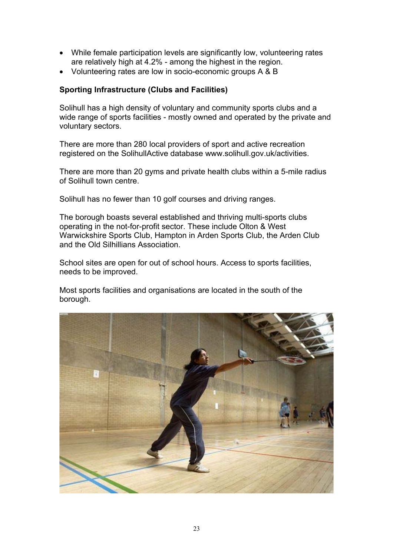- While female participation levels are significantly low, volunteering rates are relatively high at 4.2% - among the highest in the region.
- Volunteering rates are low in socio-economic groups A & B

### **Sporting Infrastructure (Clubs and Facilities)**

Solihull has a high density of voluntary and community sports clubs and a wide range of sports facilities - mostly owned and operated by the private and voluntary sectors.

There are more than 280 local providers of sport and active recreation registered on the SolihullActive database www.solihull.gov.uk/activities.

There are more than 20 gyms and private health clubs within a 5-mile radius of Solihull town centre.

Solihull has no fewer than 10 golf courses and driving ranges.

The borough boasts several established and thriving multi-sports clubs operating in the not-for-profit sector. These include Olton & West Warwickshire Sports Club, Hampton in Arden Sports Club, the Arden Club and the Old Silhillians Association.

School sites are open for out of school hours. Access to sports facilities, needs to be improved.

Most sports facilities and organisations are located in the south of the borough.

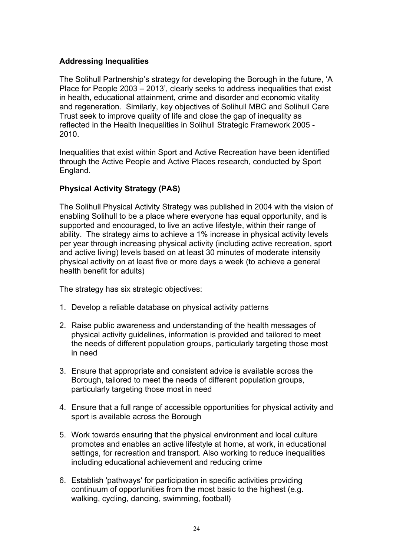#### **Addressing Inequalities**

The Solihull Partnership's strategy for developing the Borough in the future, 'A Place for People 2003 – 2013', clearly seeks to address inequalities that exist in health, educational attainment, crime and disorder and economic vitality and regeneration. Similarly, key objectives of Solihull MBC and Solihull Care Trust seek to improve quality of life and close the gap of inequality as reflected in the Health Inequalities in Solihull Strategic Framework 2005 - 2010.

Inequalities that exist within Sport and Active Recreation have been identified through the Active People and Active Places research, conducted by Sport England.

#### **Physical Activity Strategy (PAS)**

The Solihull Physical Activity Strategy was published in 2004 with the vision of enabling Solihull to be a place where everyone has equal opportunity, and is supported and encouraged, to live an active lifestyle, within their range of ability. The strategy aims to achieve a 1% increase in physical activity levels per year through increasing physical activity (including active recreation, sport and active living) levels based on at least 30 minutes of moderate intensity physical activity on at least five or more days a week (to achieve a general health benefit for adults)

The strategy has six strategic objectives:

- 1. Develop a reliable database on physical activity patterns
- 2. Raise public awareness and understanding of the health messages of physical activity guidelines, information is provided and tailored to meet the needs of different population groups, particularly targeting those most in need
- 3. Ensure that appropriate and consistent advice is available across the Borough, tailored to meet the needs of different population groups, particularly targeting those most in need
- 4. Ensure that a full range of accessible opportunities for physical activity and sport is available across the Borough
- 5. Work towards ensuring that the physical environment and local culture promotes and enables an active lifestyle at home, at work, in educational settings, for recreation and transport. Also working to reduce inequalities including educational achievement and reducing crime
- 6. Establish 'pathways' for participation in specific activities providing continuum of opportunities from the most basic to the highest (e.g. walking, cycling, dancing, swimming, football)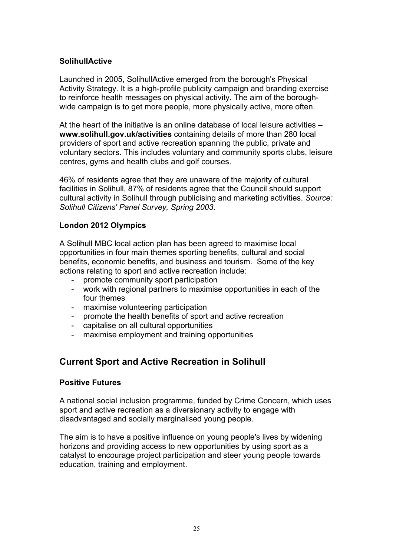#### **SolihullActive**

Launched in 2005, SolihullActive emerged from the borough's Physical Activity Strategy. It is a high-profile publicity campaign and branding exercise to reinforce health messages on physical activity. The aim of the boroughwide campaign is to get more people, more physically active, more often.

At the heart of the initiative is an online database of local leisure activities – **www.solihull.gov.uk/activities** containing details of more than 280 local providers of sport and active recreation spanning the public, private and voluntary sectors. This includes voluntary and community sports clubs, leisure centres, gyms and health clubs and golf courses.

46% of residents agree that they are unaware of the majority of cultural facilities in Solihull, 87% of residents agree that the Council should support cultural activity in Solihull through publicising and marketing activities. *Source: Solihull Citizens' Panel Survey, Spring 2003.*

#### **London 2012 Olympics**

A Solihull MBC local action plan has been agreed to maximise local opportunities in four main themes sporting benefits, cultural and social benefits, economic benefits, and business and tourism. Some of the key actions relating to sport and active recreation include:

- promote community sport participation
- work with regional partners to maximise opportunities in each of the four themes
- maximise volunteering participation
- promote the health benefits of sport and active recreation
- capitalise on all cultural opportunities
- maximise employment and training opportunities

# **Current Sport and Active Recreation in Solihull**

#### **Positive Futures**

A national social inclusion programme, funded by Crime Concern, which uses sport and active recreation as a diversionary activity to engage with disadvantaged and socially marginalised young people.

The aim is to have a positive influence on young people's lives by widening horizons and providing access to new opportunities by using sport as a catalyst to encourage project participation and steer young people towards education, training and employment.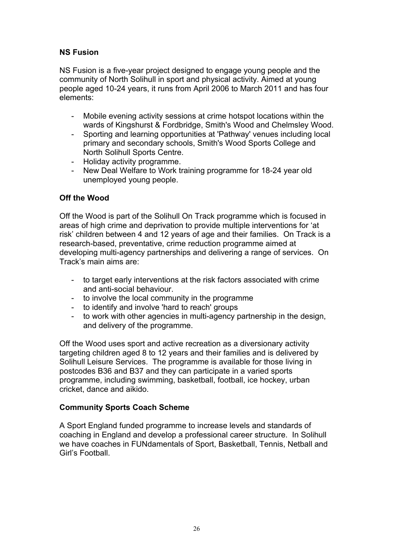## **NS Fusion**

NS Fusion is a five-year project designed to engage young people and the community of North Solihull in sport and physical activity. Aimed at young people aged 10-24 years, it runs from April 2006 to March 2011 and has four elements:

- Mobile evening activity sessions at crime hotspot locations within the wards of Kingshurst & Fordbridge, Smith's Wood and Chelmsley Wood.
- Sporting and learning opportunities at 'Pathway' venues including local primary and secondary schools, Smith's Wood Sports College and North Solihull Sports Centre.
- Holiday activity programme.
- New Deal Welfare to Work training programme for 18-24 year old unemployed young people.

#### **Off the Wood**

Off the Wood is part of the Solihull On Track programme which is focused in areas of high crime and deprivation to provide multiple interventions for 'at risk' children between 4 and 12 years of age and their families. On Track is a research-based, preventative, crime reduction programme aimed at developing multi-agency partnerships and delivering a range of services. On Track's main aims are:

- to target early interventions at the risk factors associated with crime and anti-social behaviour.
- to involve the local community in the programme
- to identify and involve 'hard to reach' groups
- to work with other agencies in multi-agency partnership in the design, and delivery of the programme.

Off the Wood uses sport and active recreation as a diversionary activity targeting children aged 8 to 12 years and their families and is delivered by Solihull Leisure Services. The programme is available for those living in postcodes B36 and B37 and they can participate in a varied sports programme, including swimming, basketball, football, ice hockey, urban cricket, dance and aikido.

### **Community Sports Coach Scheme**

A Sport England funded programme to increase levels and standards of coaching in England and develop a professional career structure. In Solihull we have coaches in FUNdamentals of Sport, Basketball, Tennis, Netball and Girl's Football.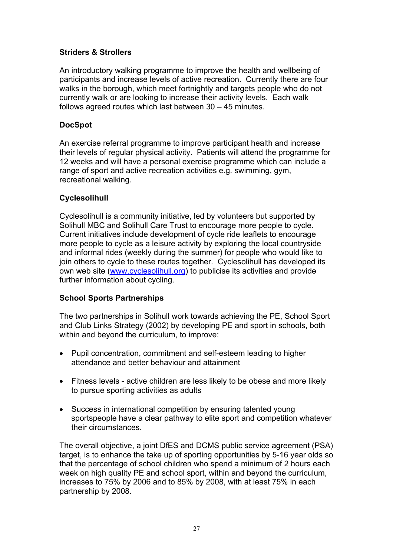#### **Striders & Strollers**

An introductory walking programme to improve the health and wellbeing of participants and increase levels of active recreation. Currently there are four walks in the borough, which meet fortnightly and targets people who do not currently walk or are looking to increase their activity levels. Each walk follows agreed routes which last between 30 – 45 minutes.

#### **DocSpot**

An exercise referral programme to improve participant health and increase their levels of regular physical activity. Patients will attend the programme for 12 weeks and will have a personal exercise programme which can include a range of sport and active recreation activities e.g. swimming, gym, recreational walking.

#### **Cyclesolihull**

Cyclesolihull is a community initiative, led by volunteers but supported by Solihull MBC and Solihull Care Trust to encourage more people to cycle. Current initiatives include development of cycle ride leaflets to encourage more people to cycle as a leisure activity by exploring the local countryside and informal rides (weekly during the summer) for people who would like to join others to cycle to these routes together. Cyclesolihull has developed its own web site (www.cyclesolihull.org) to publicise its activities and provide further information about cycling.

### **School Sports Partnerships**

The two partnerships in Solihull work towards achieving the PE, School Sport and Club Links Strategy (2002) by developing PE and sport in schools, both within and beyond the curriculum, to improve:

- Pupil concentration, commitment and self-esteem leading to higher attendance and better behaviour and attainment
- Fitness levels active children are less likely to be obese and more likely to pursue sporting activities as adults
- Success in international competition by ensuring talented young sportspeople have a clear pathway to elite sport and competition whatever their circumstances.

The overall objective, a joint DfES and DCMS public service agreement (PSA) target, is to enhance the take up of sporting opportunities by 5-16 year olds so that the percentage of school children who spend a minimum of 2 hours each week on high quality PE and school sport, within and beyond the curriculum, increases to 75% by 2006 and to 85% by 2008, with at least 75% in each partnership by 2008.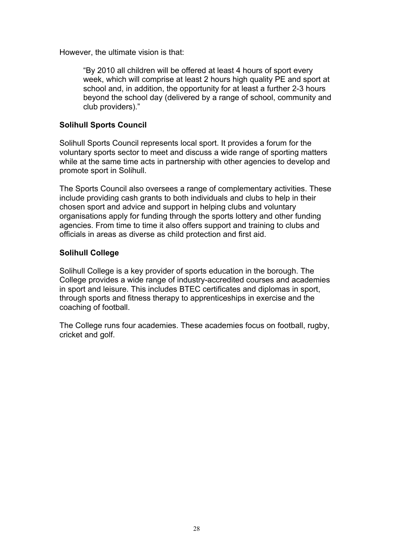However, the ultimate vision is that:

"By 2010 all children will be offered at least 4 hours of sport every week, which will comprise at least 2 hours high quality PE and sport at school and, in addition, the opportunity for at least a further 2-3 hours beyond the school day (delivered by a range of school, community and club providers)."

#### **Solihull Sports Council**

Solihull Sports Council represents local sport. It provides a forum for the voluntary sports sector to meet and discuss a wide range of sporting matters while at the same time acts in partnership with other agencies to develop and promote sport in Solihull.

The Sports Council also oversees a range of complementary activities. These include providing cash grants to both individuals and clubs to help in their chosen sport and advice and support in helping clubs and voluntary organisations apply for funding through the sports lottery and other funding agencies. From time to time it also offers support and training to clubs and officials in areas as diverse as child protection and first aid.

#### **Solihull College**

Solihull College is a key provider of sports education in the borough. The College provides a wide range of industry-accredited courses and academies in sport and leisure. This includes BTEC certificates and diplomas in sport, through sports and fitness therapy to apprenticeships in exercise and the coaching of football.

The College runs four academies. These academies focus on football, rugby, cricket and golf.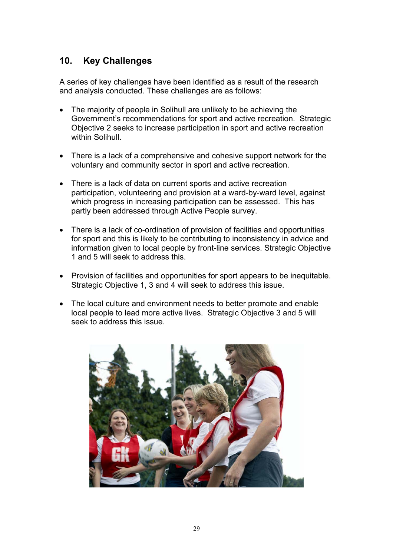# **10. Key Challenges**

A series of key challenges have been identified as a result of the research and analysis conducted. These challenges are as follows:

- The majority of people in Solihull are unlikely to be achieving the Government's recommendations for sport and active recreation. Strategic Objective 2 seeks to increase participation in sport and active recreation within Solihull.
- There is a lack of a comprehensive and cohesive support network for the voluntary and community sector in sport and active recreation.
- There is a lack of data on current sports and active recreation participation, volunteering and provision at a ward-by-ward level, against which progress in increasing participation can be assessed. This has partly been addressed through Active People survey.
- There is a lack of co-ordination of provision of facilities and opportunities for sport and this is likely to be contributing to inconsistency in advice and information given to local people by front-line services. Strategic Objective 1 and 5 will seek to address this.
- Provision of facilities and opportunities for sport appears to be inequitable. Strategic Objective 1, 3 and 4 will seek to address this issue.
- The local culture and environment needs to better promote and enable local people to lead more active lives. Strategic Objective 3 and 5 will seek to address this issue.

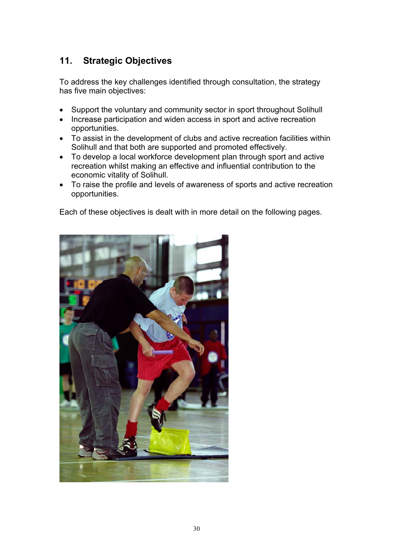# **11. Strategic Objectives**

To address the key challenges identified through consultation, the strategy has five main objectives:

- Support the voluntary and community sector in sport throughout Solihull
- Increase participation and widen access in sport and active recreation opportunities.
- To assist in the development of clubs and active recreation facilities within Solihull and that both are supported and promoted effectively.
- To develop a local workforce development plan through sport and active recreation whilst making an effective and influential contribution to the economic vitality of Solihull.
- To raise the profile and levels of awareness of sports and active recreation opportunities.

Each of these objectives is dealt with in more detail on the following pages.

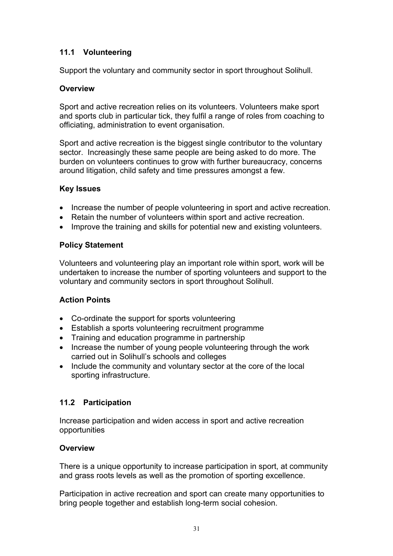# **11.1 Volunteering**

Support the voluntary and community sector in sport throughout Solihull.

## **Overview**

Sport and active recreation relies on its volunteers. Volunteers make sport and sports club in particular tick, they fulfil a range of roles from coaching to officiating, administration to event organisation.

Sport and active recreation is the biggest single contributor to the voluntary sector. Increasingly these same people are being asked to do more. The burden on volunteers continues to grow with further bureaucracy, concerns around litigation, child safety and time pressures amongst a few.

### **Key Issues**

- Increase the number of people volunteering in sport and active recreation.
- Retain the number of volunteers within sport and active recreation.
- Improve the training and skills for potential new and existing volunteers.

## **Policy Statement**

Volunteers and volunteering play an important role within sport, work will be undertaken to increase the number of sporting volunteers and support to the voluntary and community sectors in sport throughout Solihull.

# **Action Points**

- Co-ordinate the support for sports volunteering
- Establish a sports volunteering recruitment programme
- Training and education programme in partnership
- Increase the number of young people volunteering through the work carried out in Solihull's schools and colleges
- Include the community and voluntary sector at the core of the local sporting infrastructure.

# **11.2 Participation**

Increase participation and widen access in sport and active recreation opportunities

# **Overview**

There is a unique opportunity to increase participation in sport, at community and grass roots levels as well as the promotion of sporting excellence.

Participation in active recreation and sport can create many opportunities to bring people together and establish long-term social cohesion.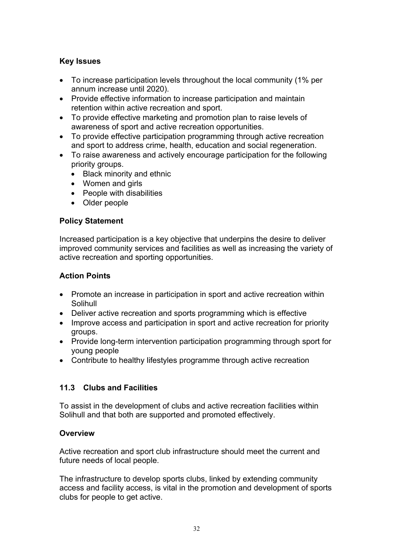### **Key Issues**

- To increase participation levels throughout the local community (1% per annum increase until 2020).
- Provide effective information to increase participation and maintain retention within active recreation and sport.
- To provide effective marketing and promotion plan to raise levels of awareness of sport and active recreation opportunities.
- To provide effective participation programming through active recreation and sport to address crime, health, education and social regeneration.
- To raise awareness and actively encourage participation for the following priority groups.
	- $\bullet$  Black minority and ethnic
	- Women and girls
	- $\bullet$  People with disabilities
	- Older people

### **Policy Statement**

Increased participation is a key objective that underpins the desire to deliver improved community services and facilities as well as increasing the variety of active recreation and sporting opportunities.

## **Action Points**

- Promote an increase in participation in sport and active recreation within **Solihull**
- Deliver active recreation and sports programming which is effective
- Improve access and participation in sport and active recreation for priority groups.
- Provide long-term intervention participation programming through sport for young people
- Contribute to healthy lifestyles programme through active recreation

# **11.3 Clubs and Facilities**

To assist in the development of clubs and active recreation facilities within Solihull and that both are supported and promoted effectively.

### **Overview**

Active recreation and sport club infrastructure should meet the current and future needs of local people.

The infrastructure to develop sports clubs, linked by extending community access and facility access, is vital in the promotion and development of sports clubs for people to get active.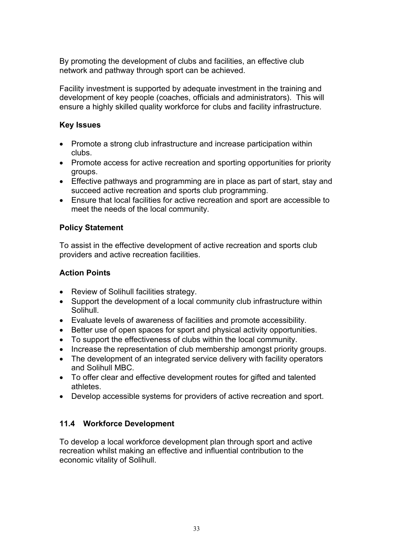By promoting the development of clubs and facilities, an effective club network and pathway through sport can be achieved.

Facility investment is supported by adequate investment in the training and development of key people (coaches, officials and administrators). This will ensure a highly skilled quality workforce for clubs and facility infrastructure.

#### **Key Issues**

- Promote a strong club infrastructure and increase participation within clubs.
- Promote access for active recreation and sporting opportunities for priority groups.
- Effective pathways and programming are in place as part of start, stay and succeed active recreation and sports club programming.
- Ensure that local facilities for active recreation and sport are accessible to meet the needs of the local community.

### **Policy Statement**

To assist in the effective development of active recreation and sports club providers and active recreation facilities.

#### **Action Points**

- Review of Solihull facilities strategy.
- Support the development of a local community club infrastructure within Solihull.
- Evaluate levels of awareness of facilities and promote accessibility.
- Better use of open spaces for sport and physical activity opportunities.
- To support the effectiveness of clubs within the local community.
- Increase the representation of club membership amongst priority groups.
- The development of an integrated service delivery with facility operators and Solihull MBC.
- To offer clear and effective development routes for gifted and talented athletes.
- Develop accessible systems for providers of active recreation and sport.

### **11.4 Workforce Development**

To develop a local workforce development plan through sport and active recreation whilst making an effective and influential contribution to the economic vitality of Solihull.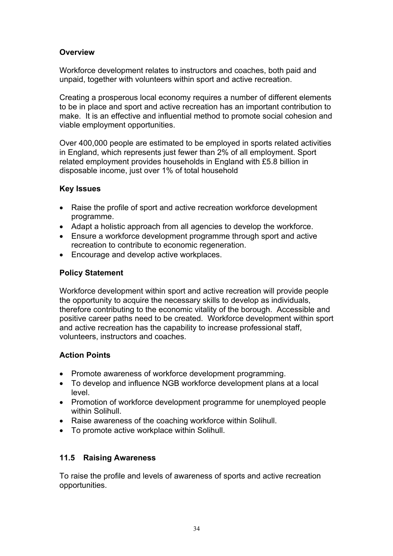## **Overview**

Workforce development relates to instructors and coaches, both paid and unpaid, together with volunteers within sport and active recreation.

Creating a prosperous local economy requires a number of different elements to be in place and sport and active recreation has an important contribution to make. It is an effective and influential method to promote social cohesion and viable employment opportunities.

Over 400,000 people are estimated to be employed in sports related activities in England, which represents just fewer than 2% of all employment. Sport related employment provides households in England with £5.8 billion in disposable income, just over 1% of total household

#### **Key Issues**

- Raise the profile of sport and active recreation workforce development programme.
- Adapt a holistic approach from all agencies to develop the workforce.
- Ensure a workforce development programme through sport and active recreation to contribute to economic regeneration.
- Encourage and develop active workplaces.

### **Policy Statement**

Workforce development within sport and active recreation will provide people the opportunity to acquire the necessary skills to develop as individuals, therefore contributing to the economic vitality of the borough. Accessible and positive career paths need to be created. Workforce development within sport and active recreation has the capability to increase professional staff, volunteers, instructors and coaches.

### **Action Points**

- Promote awareness of workforce development programming.
- To develop and influence NGB workforce development plans at a local level.
- Promotion of workforce development programme for unemployed people within Solihull.
- Raise awareness of the coaching workforce within Solihull.
- To promote active workplace within Solihull.

### **11.5 Raising Awareness**

To raise the profile and levels of awareness of sports and active recreation opportunities.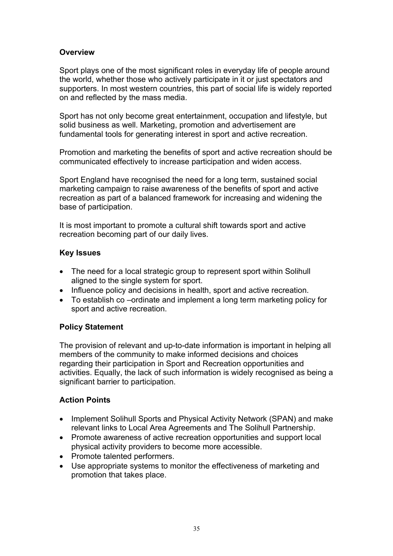#### **Overview**

Sport plays one of the most significant roles in everyday life of people around the world, whether those who actively participate in it or just spectators and supporters. In most western countries, this part of social life is widely reported on and reflected by the mass media.

Sport has not only become great entertainment, occupation and lifestyle, but solid business as well. Marketing, promotion and advertisement are fundamental tools for generating interest in sport and active recreation.

Promotion and marketing the benefits of sport and active recreation should be communicated effectively to increase participation and widen access.

Sport England have recognised the need for a long term, sustained social marketing campaign to raise awareness of the benefits of sport and active recreation as part of a balanced framework for increasing and widening the base of participation.

It is most important to promote a cultural shift towards sport and active recreation becoming part of our daily lives.

#### **Key Issues**

- The need for a local strategic group to represent sport within Solihull aligned to the single system for sport.
- Influence policy and decisions in health, sport and active recreation.
- To establish co –ordinate and implement a long term marketing policy for sport and active recreation.

#### **Policy Statement**

The provision of relevant and up-to-date information is important in helping all members of the community to make informed decisions and choices regarding their participation in Sport and Recreation opportunities and activities. Equally, the lack of such information is widely recognised as being a significant barrier to participation.

### **Action Points**

- Implement Solihull Sports and Physical Activity Network (SPAN) and make relevant links to Local Area Agreements and The Solihull Partnership.
- Promote awareness of active recreation opportunities and support local physical activity providers to become more accessible.
- Promote talented performers.
- Use appropriate systems to monitor the effectiveness of marketing and promotion that takes place.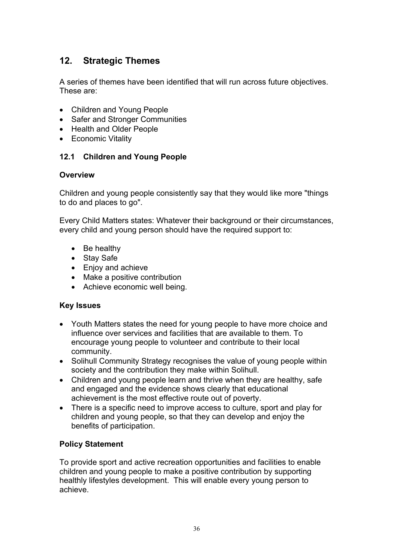# **12. Strategic Themes**

A series of themes have been identified that will run across future objectives. These are:

- Children and Young People
- Safer and Stronger Communities
- Health and Older People
- Economic Vitality

#### **12.1 Children and Young People**

#### **Overview**

Children and young people consistently say that they would like more "things to do and places to go".

Every Child Matters states: Whatever their background or their circumstances, every child and young person should have the required support to:

- $\bullet$  Be healthy
- Stay Safe
- Enjoy and achieve
- Make a positive contribution
- Achieve economic well being.

#### **Key Issues**

- Youth Matters states the need for young people to have more choice and influence over services and facilities that are available to them. To encourage young people to volunteer and contribute to their local community.
- Solihull Community Strategy recognises the value of young people within society and the contribution they make within Solihull.
- Children and young people learn and thrive when they are healthy, safe and engaged and the evidence shows clearly that educational achievement is the most effective route out of poverty.
- There is a specific need to improve access to culture, sport and play for children and young people, so that they can develop and enjoy the benefits of participation.

#### **Policy Statement**

To provide sport and active recreation opportunities and facilities to enable children and young people to make a positive contribution by supporting healthly lifestyles development. This will enable every young person to achieve.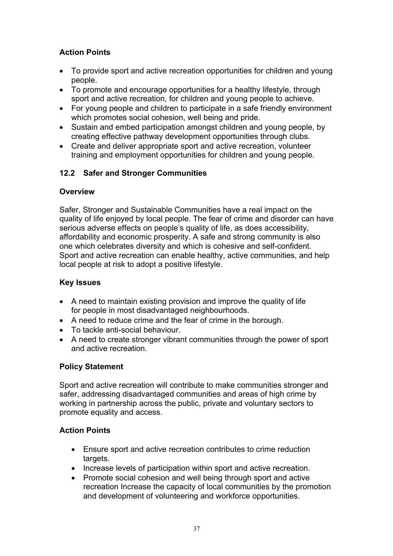# **Action Points**

- To provide sport and active recreation opportunities for children and young people.
- To promote and encourage opportunities for a healthy lifestyle, through sport and active recreation, for children and young people to achieve.
- For young people and children to participate in a safe friendly environment which promotes social cohesion, well being and pride.
- Sustain and embed participation amongst children and young people, by creating effective pathway development opportunities through clubs.
- Create and deliver appropriate sport and active recreation, volunteer training and employment opportunities for children and young people.

# **12.2 Safer and Stronger Communities**

## **Overview**

Safer, Stronger and Sustainable Communities have a real impact on the quality of life enjoyed by local people. The fear of crime and disorder can have serious adverse effects on people's quality of life, as does accessibility, affordability and economic prosperity. A safe and strong community is also one which celebrates diversity and which is cohesive and self-confident. Sport and active recreation can enable healthy, active communities, and help local people at risk to adopt a positive lifestyle.

## **Key Issues**

- A need to maintain existing provision and improve the quality of life for people in most disadvantaged neighbourhoods.
- A need to reduce crime and the fear of crime in the borough.
- $\bullet$  To tackle anti-social behaviour.
- A need to create stronger vibrant communities through the power of sport and active recreation.

# **Policy Statement**

Sport and active recreation will contribute to make communities stronger and safer, addressing disadvantaged communities and areas of high crime by working in partnership across the public, private and voluntary sectors to promote equality and access.

# **Action Points**

- Ensure sport and active recreation contributes to crime reduction targets.
- Increase levels of participation within sport and active recreation.
- Promote social cohesion and well being through sport and active recreation Increase the capacity of local communities by the promotion and development of volunteering and workforce opportunities.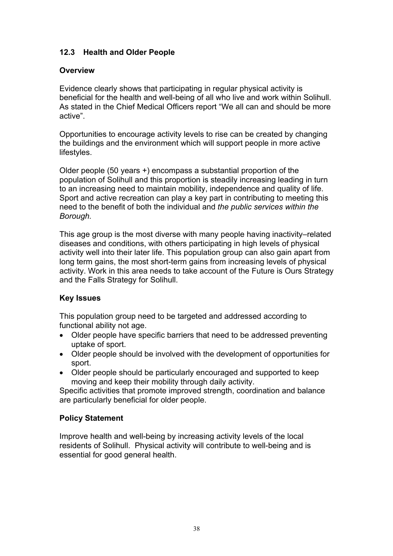## **12.3 Health and Older People**

#### **Overview**

Evidence clearly shows that participating in regular physical activity is beneficial for the health and well-being of all who live and work within Solihull. As stated in the Chief Medical Officers report "We all can and should be more active".

Opportunities to encourage activity levels to rise can be created by changing the buildings and the environment which will support people in more active lifestyles.

Older people (50 years +) encompass a substantial proportion of the population of Solihull and this proportion is steadily increasing leading in turn to an increasing need to maintain mobility, independence and quality of life. Sport and active recreation can play a key part in contributing to meeting this need to the benefit of both the individual and *the public services within the Borough.*

This age group is the most diverse with many people having inactivity–related diseases and conditions, with others participating in high levels of physical activity well into their later life. This population group can also gain apart from long term gains, the most short-term gains from increasing levels of physical activity. Work in this area needs to take account of the Future is Ours Strategy and the Falls Strategy for Solihull.

### **Key Issues**

This population group need to be targeted and addressed according to functional ability not age.

- Older people have specific barriers that need to be addressed preventing uptake of sport.
- Older people should be involved with the development of opportunities for sport.
- Older people should be particularly encouraged and supported to keep moving and keep their mobility through daily activity.

Specific activities that promote improved strength, coordination and balance are particularly beneficial for older people.

#### **Policy Statement**

Improve health and well-being by increasing activity levels of the local residents of Solihull. Physical activity will contribute to well-being and is essential for good general health.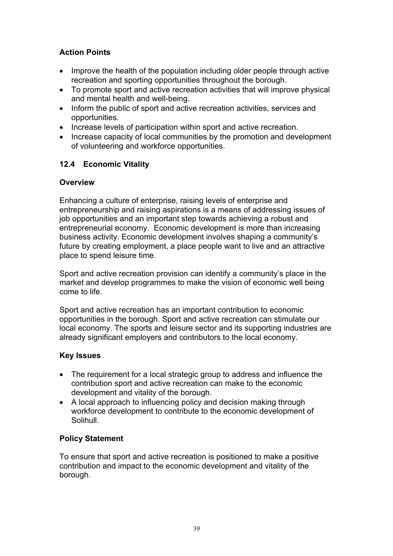# **Action Points**

- Improve the health of the population including older people through active recreation and sporting opportunities throughout the borough.
- To promote sport and active recreation activities that will improve physical and mental health and well-being.
- Inform the public of sport and active recreation activities, services and opportunities.
- Increase levels of participation within sport and active recreation.
- Increase capacity of local communities by the promotion and development of volunteering and workforce opportunities.

### **12.4 Economic Vitality**

#### **Overview**

Enhancing a culture of enterprise, raising levels of enterprise and entrepreneurship and raising aspirations is a means of addressing issues of job opportunities and an important step towards achieving a robust and entrepreneurial economy. Economic development is more than increasing business activity. Economic development involves shaping a community's future by creating employment, a place people want to live and an attractive place to spend leisure time.

Sport and active recreation provision can identify a community's place in the market and develop programmes to make the vision of economic well being come to life.

Sport and active recreation has an important contribution to economic opportunities in the borough. Sport and active recreation can stimulate our local economy. The sports and leisure sector and its supporting industries are already significant employers and contributors to the local economy.

#### **Key Issues**

- The requirement for a local strategic group to address and influence the contribution sport and active recreation can make to the economic development and vitality of the borough.
- A local approach to influencing policy and decision making through workforce development to contribute to the economic development of Solihull.

### **Policy Statement**

To ensure that sport and active recreation is positioned to make a positive contribution and impact to the economic development and vitality of the borough.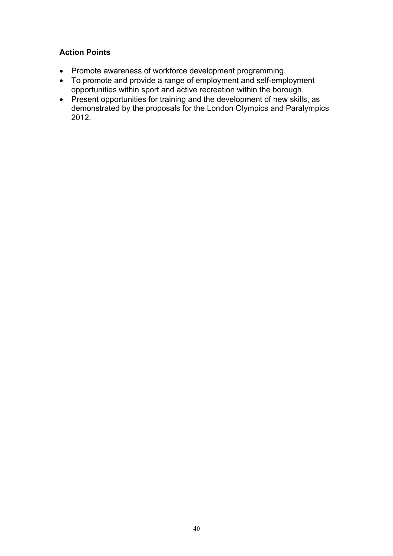## **Action Points**

- Promote awareness of workforce development programming.
- To promote and provide a range of employment and self-employment opportunities within sport and active recreation within the borough.
- Present opportunities for training and the development of new skills, as demonstrated by the proposals for the London Olympics and Paralympics 2012.